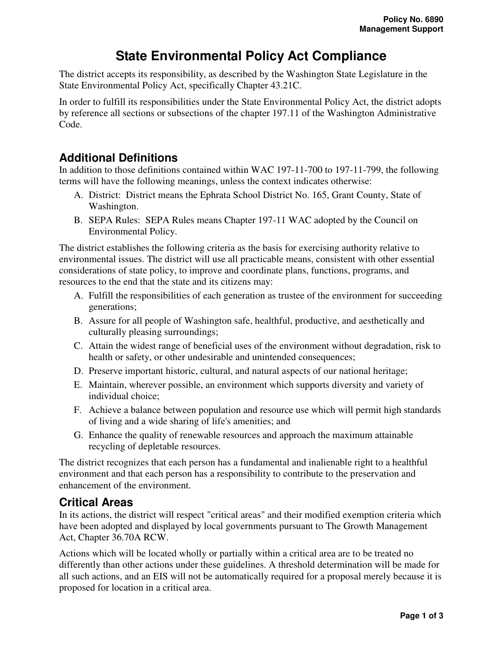# **State Environmental Policy Act Compliance**

The district accepts its responsibility, as described by the Washington State Legislature in the State Environmental Policy Act, specifically Chapter 43.21C.

In order to fulfill its responsibilities under the State Environmental Policy Act, the district adopts by reference all sections or subsections of the chapter 197.11 of the Washington Administrative Code.

# **Additional Definitions**

In addition to those definitions contained within WAC 197-11-700 to 197-11-799, the following terms will have the following meanings, unless the context indicates otherwise:

- A. District: District means the Ephrata School District No. 165, Grant County, State of Washington.
- B. SEPA Rules: SEPA Rules means Chapter 197-11 WAC adopted by the Council on Environmental Policy.

The district establishes the following criteria as the basis for exercising authority relative to environmental issues. The district will use all practicable means, consistent with other essential considerations of state policy, to improve and coordinate plans, functions, programs, and resources to the end that the state and its citizens may:

- A. Fulfill the responsibilities of each generation as trustee of the environment for succeeding generations;
- B. Assure for all people of Washington safe, healthful, productive, and aesthetically and culturally pleasing surroundings;
- C. Attain the widest range of beneficial uses of the environment without degradation, risk to health or safety, or other undesirable and unintended consequences;
- D. Preserve important historic, cultural, and natural aspects of our national heritage;
- E. Maintain, wherever possible, an environment which supports diversity and variety of individual choice;
- F. Achieve a balance between population and resource use which will permit high standards of living and a wide sharing of life's amenities; and
- G. Enhance the quality of renewable resources and approach the maximum attainable recycling of depletable resources.

The district recognizes that each person has a fundamental and inalienable right to a healthful environment and that each person has a responsibility to contribute to the preservation and enhancement of the environment.

#### **Critical Areas**

In its actions, the district will respect "critical areas" and their modified exemption criteria which have been adopted and displayed by local governments pursuant to The Growth Management Act, Chapter 36.70A RCW.

Actions which will be located wholly or partially within a critical area are to be treated no differently than other actions under these guidelines. A threshold determination will be made for all such actions, and an EIS will not be automatically required for a proposal merely because it is proposed for location in a critical area.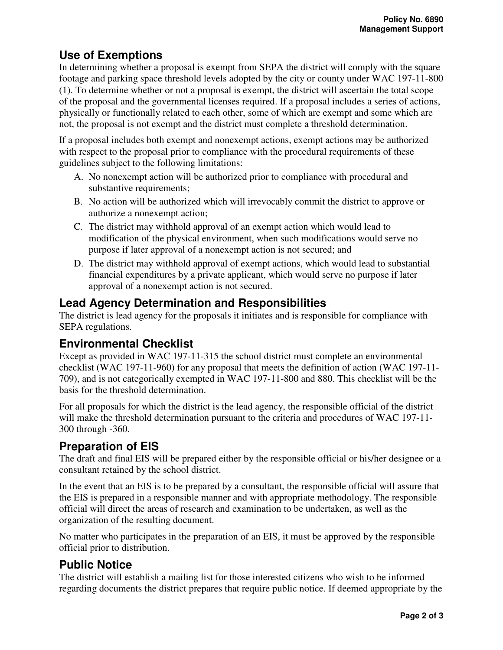# **Use of Exemptions**

In determining whether a proposal is exempt from SEPA the district will comply with the square footage and parking space threshold levels adopted by the city or county under WAC 197-11-800 (1). To determine whether or not a proposal is exempt, the district will ascertain the total scope of the proposal and the governmental licenses required. If a proposal includes a series of actions, physically or functionally related to each other, some of which are exempt and some which are not, the proposal is not exempt and the district must complete a threshold determination.

If a proposal includes both exempt and nonexempt actions, exempt actions may be authorized with respect to the proposal prior to compliance with the procedural requirements of these guidelines subject to the following limitations:

- A. No nonexempt action will be authorized prior to compliance with procedural and substantive requirements;
- B. No action will be authorized which will irrevocably commit the district to approve or authorize a nonexempt action;
- C. The district may withhold approval of an exempt action which would lead to modification of the physical environment, when such modifications would serve no purpose if later approval of a nonexempt action is not secured; and
- D. The district may withhold approval of exempt actions, which would lead to substantial financial expenditures by a private applicant, which would serve no purpose if later approval of a nonexempt action is not secured.

# **Lead Agency Determination and Responsibilities**

The district is lead agency for the proposals it initiates and is responsible for compliance with SEPA regulations.

# **Environmental Checklist**

Except as provided in WAC 197-11-315 the school district must complete an environmental checklist (WAC 197-11-960) for any proposal that meets the definition of action (WAC 197-11- 709), and is not categorically exempted in WAC 197-11-800 and 880. This checklist will be the basis for the threshold determination.

For all proposals for which the district is the lead agency, the responsible official of the district will make the threshold determination pursuant to the criteria and procedures of WAC 197-11- 300 through -360.

# **Preparation of EIS**

The draft and final EIS will be prepared either by the responsible official or his/her designee or a consultant retained by the school district.

In the event that an EIS is to be prepared by a consultant, the responsible official will assure that the EIS is prepared in a responsible manner and with appropriate methodology. The responsible official will direct the areas of research and examination to be undertaken, as well as the organization of the resulting document.

No matter who participates in the preparation of an EIS, it must be approved by the responsible official prior to distribution.

# **Public Notice**

The district will establish a mailing list for those interested citizens who wish to be informed regarding documents the district prepares that require public notice. If deemed appropriate by the